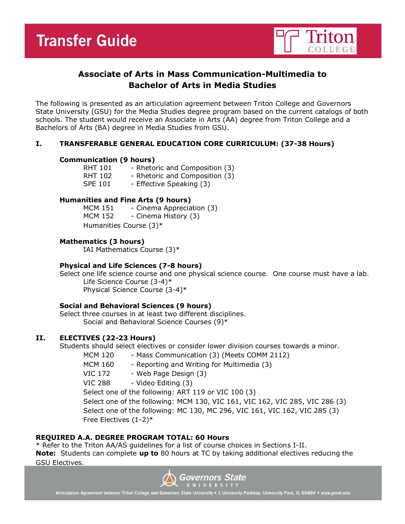

# **Associate of Arts in Mass Communication-Multimedia to Bachelor of Arts in Media Studies**

The following is presented as an articulation agreement between Triton College and Governors State University (GSU) for the Media Studies degree program based on the current catalogs of both schools. The student would receive an Associate in Arts (AA) degree from Triton College and a Bachelors of Arts (BA) degree in Media Studies from GSU.

# **I. TRANSFERABLE GENERAL EDUCATION CORE CURRICULUM: (37-38 Hours)**

# **Communication (9 hours)**

| <b>RHT 101</b> | - Rhetoric and Composition (3) |
|----------------|--------------------------------|
| <b>RHT 102</b> | - Rhetoric and Composition (3) |
| <b>SPE 101</b> | - Effective Speaking (3)       |

# **Humanities and Fine Arts (9 hours)**

MCM 151 - Cinema Appreciation (3) MCM 152 - Cinema History (3) Humanities Course (3)\*

# **Mathematics (3 hours)**

IAI Mathematics Course (3)\*

# **Physical and Life Sciences (7-8 hours)**

Select one life science course and one physical science course. One course must have a lab. Life Science Course (3-4)\* Physical Science Course (3-4)\*

# **Social and Behavioral Sciences (9 hours)**

Select three courses in at least two different disciplines. Social and Behavioral Science Courses (9)\*

# **II. ELECTIVES (22-23 Hours)**

Students should select electives or consider lower division courses towards a minor.

MCM 120 - Mass Communication (3) (Meets COMM 2112)

MCM 160 - Reporting and Writing for Multimedia (3)

- VIC 172 Web Page Design (3)
- VIC 288 Video Editing (3)

Select one of the following: ART 119 or VIC 100 (3)

Select one of the following: MCM 130, VIC 161, VIC 162, VIC 285, VIC 286 (3) Select one of the following: MC 130, MC 296, VIC 161, VIC 162, VIC 285 (3) Free Electives (1-2)\*

# **REQUIRED A.A. DEGREE PROGRAM TOTAL: 60 Hours**

\* Refer to the Triton AA/AS guidelines for a list of course choices in Sections I-II. **Note:** Students can complete **up to** 80 hours at TC by taking additional electives reducing the GSU Electives.



Articulation Agreement between Triton College and Governors State University . 1 University Parkway, University Park, IL 60484 . www.govst.edu